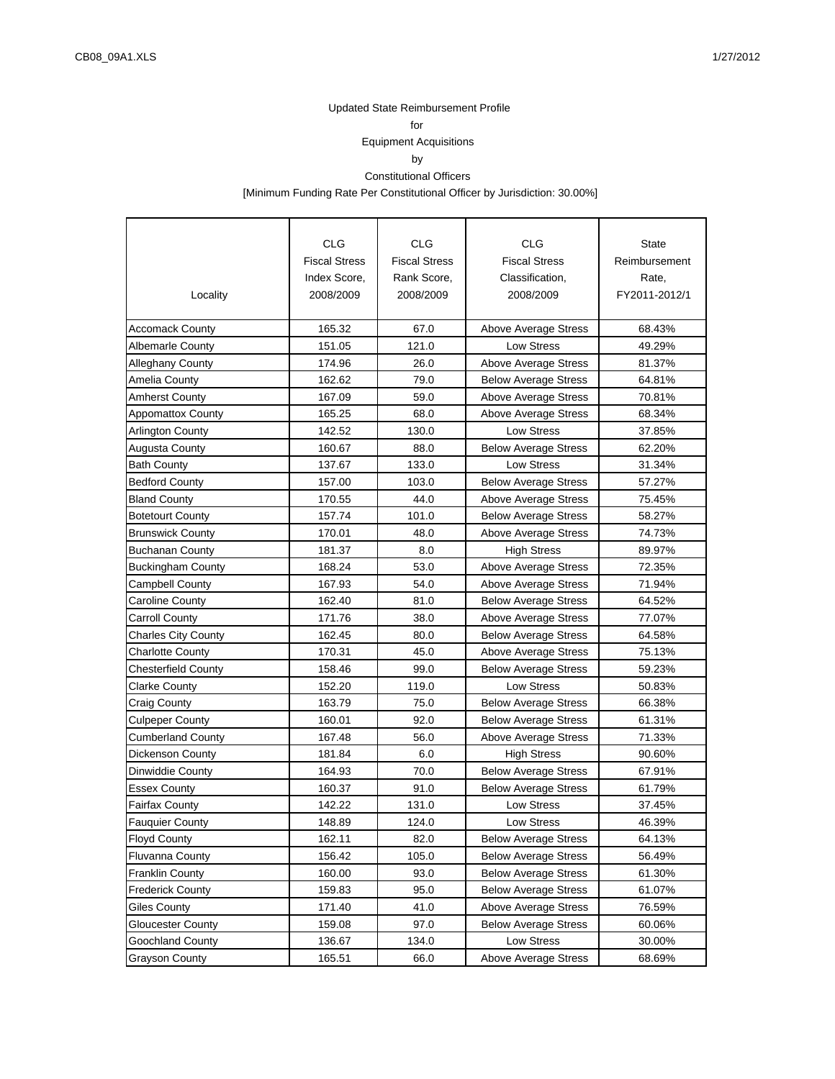for

# Equipment Acquisitions

by

#### Constitutional Officers

[Minimum Funding Rate Per Constitutional Officer by Jurisdiction: 30.00%]

|                            | <b>CLG</b>           | <b>CLG</b>           | CLG                         | <b>State</b>  |
|----------------------------|----------------------|----------------------|-----------------------------|---------------|
|                            | <b>Fiscal Stress</b> | <b>Fiscal Stress</b> | <b>Fiscal Stress</b>        | Reimbursement |
|                            | Index Score,         | Rank Score,          | Classification,             | Rate,         |
| Locality                   | 2008/2009            | 2008/2009            | 2008/2009                   | FY2011-2012/1 |
|                            |                      |                      |                             |               |
| <b>Accomack County</b>     | 165.32               | 67.0                 | Above Average Stress        | 68.43%        |
| <b>Albemarle County</b>    | 151.05               | 121.0                | Low Stress                  | 49.29%        |
| <b>Alleghany County</b>    | 174.96               | 26.0                 | Above Average Stress        | 81.37%        |
| Amelia County              | 162.62               | 79.0                 | <b>Below Average Stress</b> | 64.81%        |
| <b>Amherst County</b>      | 167.09               | 59.0                 | <b>Above Average Stress</b> | 70.81%        |
| <b>Appomattox County</b>   | 165.25               | 68.0                 | Above Average Stress        | 68.34%        |
| <b>Arlington County</b>    | 142.52               | 130.0                | <b>Low Stress</b>           | 37.85%        |
| <b>Augusta County</b>      | 160.67               | 88.0                 | <b>Below Average Stress</b> | 62.20%        |
| <b>Bath County</b>         | 137.67               | 133.0                | <b>Low Stress</b>           | 31.34%        |
| <b>Bedford County</b>      | 157.00               | 103.0                | <b>Below Average Stress</b> | 57.27%        |
| <b>Bland County</b>        | 170.55               | 44.0                 | Above Average Stress        | 75.45%        |
| <b>Botetourt County</b>    | 157.74               | 101.0                | <b>Below Average Stress</b> | 58.27%        |
| <b>Brunswick County</b>    | 170.01               | 48.0                 | Above Average Stress        | 74.73%        |
| <b>Buchanan County</b>     | 181.37               | 8.0                  | <b>High Stress</b>          | 89.97%        |
| <b>Buckingham County</b>   | 168.24               | 53.0                 | Above Average Stress        | 72.35%        |
| Campbell County            | 167.93               | 54.0                 | Above Average Stress        | 71.94%        |
| Caroline County            | 162.40               | 81.0                 | <b>Below Average Stress</b> | 64.52%        |
| <b>Carroll County</b>      | 171.76               | 38.0                 | Above Average Stress        | 77.07%        |
| <b>Charles City County</b> | 162.45               | 80.0                 | <b>Below Average Stress</b> | 64.58%        |
| <b>Charlotte County</b>    | 170.31               | 45.0                 | Above Average Stress        | 75.13%        |
| <b>Chesterfield County</b> | 158.46               | 99.0                 | <b>Below Average Stress</b> | 59.23%        |
| Clarke County              | 152.20               | 119.0                | <b>Low Stress</b>           | 50.83%        |
| Craig County               | 163.79               | 75.0                 | <b>Below Average Stress</b> | 66.38%        |
| <b>Culpeper County</b>     | 160.01               | 92.0                 | <b>Below Average Stress</b> | 61.31%        |
| <b>Cumberland County</b>   | 167.48               | 56.0                 | Above Average Stress        | 71.33%        |
| <b>Dickenson County</b>    | 181.84               | 6.0                  | <b>High Stress</b>          | 90.60%        |
| <b>Dinwiddie County</b>    | 164.93               | 70.0                 | <b>Below Average Stress</b> | 67.91%        |
| <b>Essex County</b>        | 160.37               | 91.0                 | <b>Below Average Stress</b> | 61.79%        |
| Fairfax County             | 142.22               | 131.0                | <b>Low Stress</b>           | 37.45%        |
| <b>Fauquier County</b>     | 148.89               | 124.0                | Low Stress                  | 46.39%        |
| <b>Floyd County</b>        | 162.11               | 82.0                 | <b>Below Average Stress</b> | 64.13%        |
| <b>Fluvanna County</b>     | 156.42               | 105.0                | <b>Below Average Stress</b> | 56.49%        |
| <b>Franklin County</b>     | 160.00               | 93.0                 | <b>Below Average Stress</b> | 61.30%        |
| <b>Frederick County</b>    | 159.83               | 95.0                 | <b>Below Average Stress</b> | 61.07%        |
| Giles County               | 171.40               | 41.0                 | Above Average Stress        | 76.59%        |
| <b>Gloucester County</b>   | 159.08               | 97.0                 | <b>Below Average Stress</b> | 60.06%        |
| Goochland County           | 136.67               | 134.0                | Low Stress                  | 30.00%        |
| Grayson County             | 165.51               | 66.0                 | Above Average Stress        | 68.69%        |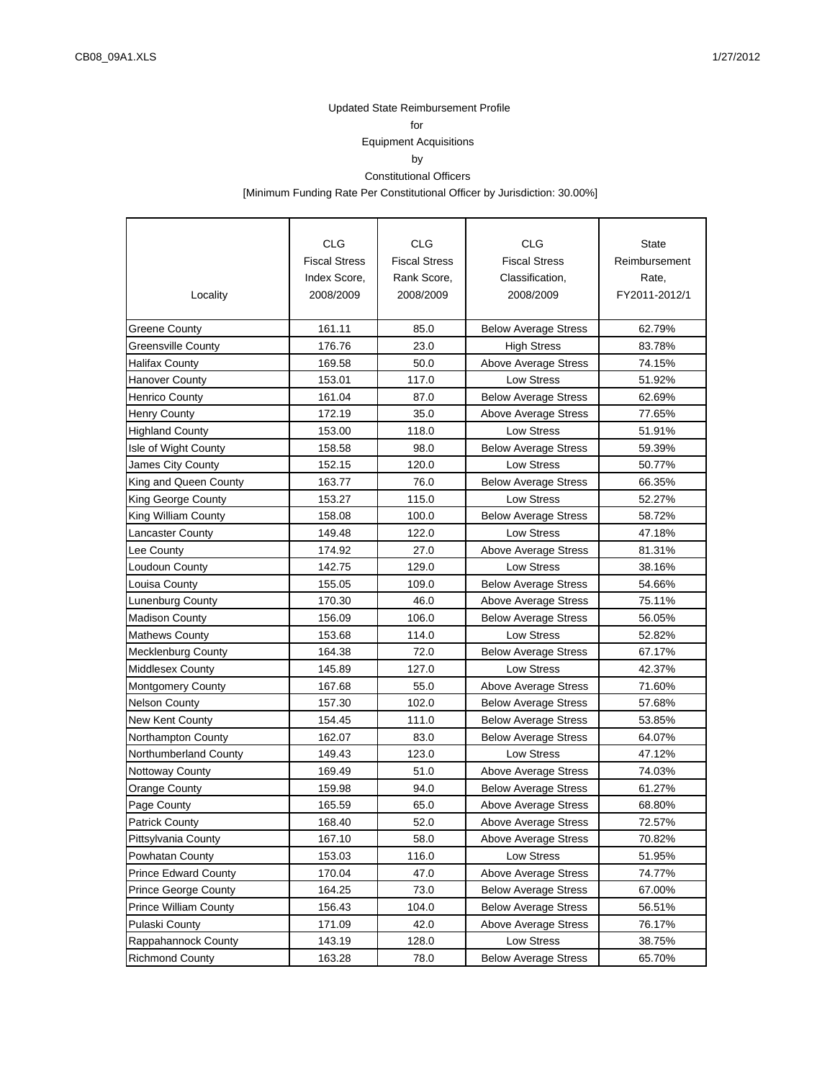for

# Equipment Acquisitions

by

#### Constitutional Officers

[Minimum Funding Rate Per Constitutional Officer by Jurisdiction: 30.00%]

|                              | <b>CLG</b>           | <b>CLG</b>           | CLG                         | <b>State</b>  |
|------------------------------|----------------------|----------------------|-----------------------------|---------------|
|                              | <b>Fiscal Stress</b> | <b>Fiscal Stress</b> | <b>Fiscal Stress</b>        | Reimbursement |
|                              | Index Score,         | Rank Score,          | Classification,             | Rate,         |
| Locality                     | 2008/2009            | 2008/2009            | 2008/2009                   | FY2011-2012/1 |
|                              |                      |                      |                             |               |
| <b>Greene County</b>         | 161.11               | 85.0                 | <b>Below Average Stress</b> | 62.79%        |
| <b>Greensville County</b>    | 176.76               | 23.0                 | <b>High Stress</b>          | 83.78%        |
| <b>Halifax County</b>        | 169.58               | 50.0                 | Above Average Stress        | 74.15%        |
| <b>Hanover County</b>        | 153.01               | 117.0                | <b>Low Stress</b>           | 51.92%        |
| <b>Henrico County</b>        | 161.04               | 87.0                 | <b>Below Average Stress</b> | 62.69%        |
| <b>Henry County</b>          | 172.19               | 35.0                 | Above Average Stress        | 77.65%        |
| <b>Highland County</b>       | 153.00               | 118.0                | Low Stress                  | 51.91%        |
| Isle of Wight County         | 158.58               | 98.0                 | <b>Below Average Stress</b> | 59.39%        |
| James City County            | 152.15               | 120.0                | <b>Low Stress</b>           | 50.77%        |
| King and Queen County        | 163.77               | 76.0                 | <b>Below Average Stress</b> | 66.35%        |
| King George County           | 153.27               | 115.0                | <b>Low Stress</b>           | 52.27%        |
| King William County          | 158.08               | 100.0                | <b>Below Average Stress</b> | 58.72%        |
| <b>Lancaster County</b>      | 149.48               | 122.0                | <b>Low Stress</b>           | 47.18%        |
| Lee County                   | 174.92               | 27.0                 | Above Average Stress        | 81.31%        |
| Loudoun County               | 142.75               | 129.0                | <b>Low Stress</b>           | 38.16%        |
| Louisa County                | 155.05               | 109.0                | <b>Below Average Stress</b> | 54.66%        |
| Lunenburg County             | 170.30               | 46.0                 | Above Average Stress        | 75.11%        |
| <b>Madison County</b>        | 156.09               | 106.0                | <b>Below Average Stress</b> | 56.05%        |
| <b>Mathews County</b>        | 153.68               | 114.0                | <b>Low Stress</b>           | 52.82%        |
| <b>Mecklenburg County</b>    | 164.38               | 72.0                 | <b>Below Average Stress</b> | 67.17%        |
| <b>Middlesex County</b>      | 145.89               | 127.0                | <b>Low Stress</b>           | 42.37%        |
| <b>Montgomery County</b>     | 167.68               | 55.0                 | Above Average Stress        | 71.60%        |
| <b>Nelson County</b>         | 157.30               | 102.0                | <b>Below Average Stress</b> | 57.68%        |
| New Kent County              | 154.45               | 111.0                | <b>Below Average Stress</b> | 53.85%        |
| Northampton County           | 162.07               | 83.0                 | <b>Below Average Stress</b> | 64.07%        |
| Northumberland County        | 149.43               | 123.0                | <b>Low Stress</b>           | 47.12%        |
| <b>Nottoway County</b>       | 169.49               | 51.0                 | Above Average Stress        | 74.03%        |
| <b>Orange County</b>         | 159.98               | 94.0                 | <b>Below Average Stress</b> | 61.27%        |
| Page County                  | 165.59               | 65.0                 | Above Average Stress        | 68.80%        |
| <b>Patrick County</b>        | 168.40               | 52.0                 | Above Average Stress        | 72.57%        |
| Pittsylvania County          | 167.10               | 58.0                 | Above Average Stress        | 70.82%        |
| Powhatan County              | 153.03               | 116.0                | Low Stress                  | 51.95%        |
| <b>Prince Edward County</b>  | 170.04               | 47.0                 | Above Average Stress        | 74.77%        |
| Prince George County         | 164.25               | 73.0                 | <b>Below Average Stress</b> | 67.00%        |
| <b>Prince William County</b> | 156.43               | 104.0                | <b>Below Average Stress</b> | 56.51%        |
| Pulaski County               | 171.09               | 42.0                 | Above Average Stress        | 76.17%        |
| Rappahannock County          | 143.19               | 128.0                | Low Stress                  | 38.75%        |
| <b>Richmond County</b>       | 163.28               | 78.0                 | <b>Below Average Stress</b> | 65.70%        |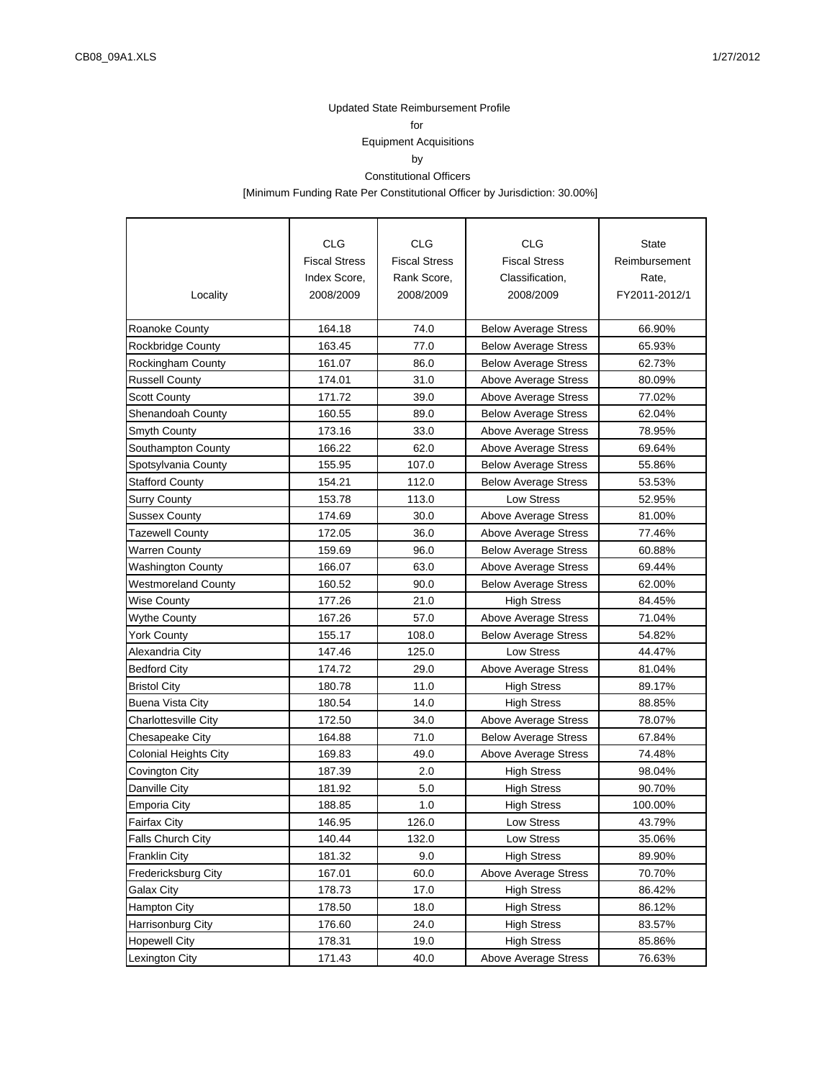for

# Equipment Acquisitions

by

#### Constitutional Officers

[Minimum Funding Rate Per Constitutional Officer by Jurisdiction: 30.00%]

|                              | <b>CLG</b>           | <b>CLG</b>           | <b>CLG</b>                  | <b>State</b>  |
|------------------------------|----------------------|----------------------|-----------------------------|---------------|
|                              | <b>Fiscal Stress</b> | <b>Fiscal Stress</b> | <b>Fiscal Stress</b>        | Reimbursement |
|                              | Index Score,         | Rank Score,          | Classification,             | Rate,         |
| Locality                     | 2008/2009            | 2008/2009            | 2008/2009                   | FY2011-2012/1 |
|                              |                      |                      |                             |               |
| Roanoke County               | 164.18               | 74.0                 | <b>Below Average Stress</b> | 66.90%        |
| <b>Rockbridge County</b>     | 163.45               | 77.0                 | <b>Below Average Stress</b> | 65.93%        |
| <b>Rockingham County</b>     | 161.07               | 86.0                 | <b>Below Average Stress</b> | 62.73%        |
| <b>Russell County</b>        | 174.01               | 31.0                 | Above Average Stress        | 80.09%        |
| <b>Scott County</b>          | 171.72               | 39.0                 | Above Average Stress        | 77.02%        |
| <b>Shenandoah County</b>     | 160.55               | 89.0                 | <b>Below Average Stress</b> | 62.04%        |
| <b>Smyth County</b>          | 173.16               | 33.0                 | Above Average Stress        | 78.95%        |
| Southampton County           | 166.22               | 62.0                 | Above Average Stress        | 69.64%        |
| Spotsylvania County          | 155.95               | 107.0                | <b>Below Average Stress</b> | 55.86%        |
| <b>Stafford County</b>       | 154.21               | 112.0                | <b>Below Average Stress</b> | 53.53%        |
| <b>Surry County</b>          | 153.78               | 113.0                | <b>Low Stress</b>           | 52.95%        |
| <b>Sussex County</b>         | 174.69               | 30.0                 | Above Average Stress        | 81.00%        |
| <b>Tazewell County</b>       | 172.05               | 36.0                 | Above Average Stress        | 77.46%        |
| <b>Warren County</b>         | 159.69               | 96.0                 | <b>Below Average Stress</b> | 60.88%        |
| <b>Washington County</b>     | 166.07               | 63.0                 | Above Average Stress        | 69.44%        |
| <b>Westmoreland County</b>   | 160.52               | 90.0                 | <b>Below Average Stress</b> | 62.00%        |
| <b>Wise County</b>           | 177.26               | 21.0                 | <b>High Stress</b>          | 84.45%        |
| <b>Wythe County</b>          | 167.26               | 57.0                 | Above Average Stress        | 71.04%        |
| <b>York County</b>           | 155.17               | 108.0                | <b>Below Average Stress</b> | 54.82%        |
| Alexandria City              | 147.46               | 125.0                | <b>Low Stress</b>           | 44.47%        |
| <b>Bedford City</b>          | 174.72               | 29.0                 | <b>Above Average Stress</b> | 81.04%        |
| <b>Bristol City</b>          | 180.78               | 11.0                 | <b>High Stress</b>          | 89.17%        |
| <b>Buena Vista City</b>      | 180.54               | 14.0                 | <b>High Stress</b>          | 88.85%        |
| <b>Charlottesville City</b>  | 172.50               | 34.0                 | Above Average Stress        | 78.07%        |
| <b>Chesapeake City</b>       | 164.88               | 71.0                 | <b>Below Average Stress</b> | 67.84%        |
| <b>Colonial Heights City</b> | 169.83               | 49.0                 | Above Average Stress        | 74.48%        |
| Covington City               | 187.39               | 2.0                  | <b>High Stress</b>          | 98.04%        |
| Danville City                | 181.92               | 5.0                  | <b>High Stress</b>          | 90.70%        |
| <b>Emporia City</b>          | 188.85               | 1.0                  | <b>High Stress</b>          | 100.00%       |
| <b>Fairfax City</b>          | 146.95               | 126.0                | Low Stress                  | 43.79%        |
| <b>Falls Church City</b>     | 140.44               | 132.0                | Low Stress                  | 35.06%        |
| <b>Franklin City</b>         | 181.32               | 9.0                  | <b>High Stress</b>          | 89.90%        |
| Fredericksburg City          | 167.01               | 60.0                 | <b>Above Average Stress</b> | 70.70%        |
| <b>Galax City</b>            | 178.73               | 17.0                 | <b>High Stress</b>          | 86.42%        |
| Hampton City                 | 178.50               | 18.0                 | <b>High Stress</b>          | 86.12%        |
| Harrisonburg City            | 176.60               | 24.0                 | <b>High Stress</b>          | 83.57%        |
| <b>Hopewell City</b>         | 178.31               | 19.0                 | <b>High Stress</b>          | 85.86%        |
| <b>Lexington City</b>        | 171.43               | 40.0                 | <b>Above Average Stress</b> | 76.63%        |